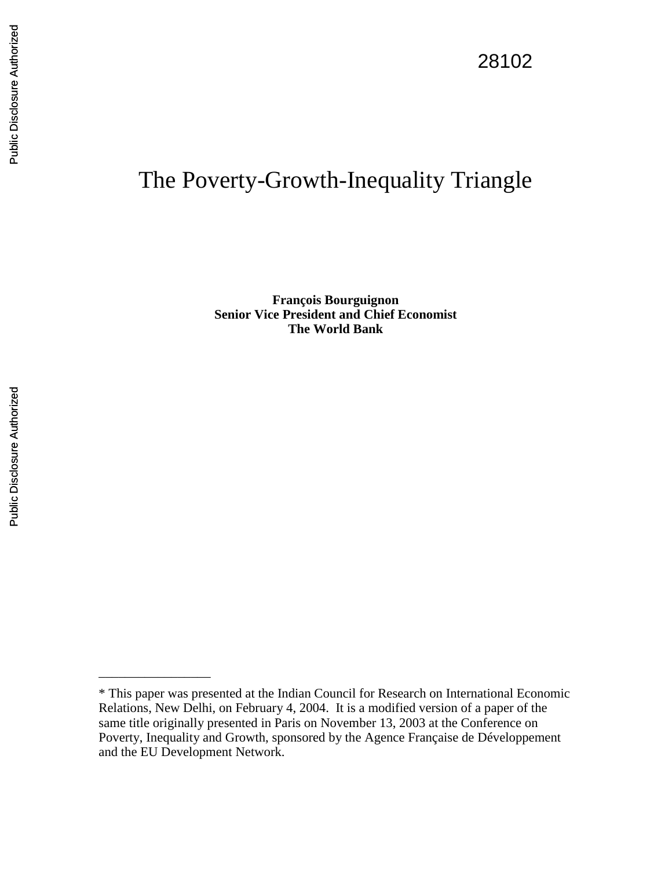\_\_\_\_\_\_\_\_\_\_\_\_\_\_\_\_\_

# The Poverty-Growth-Inequality Triangle

**François Bourguignon Senior Vice President and Chief Economist The World Bank** 

<sup>\*</sup> This paper was presented at the Indian Council for Research on International Economic Relations, New Delhi, on February 4, 2004. It is a modified version of a paper of the same title originally presented in Paris on November 13, 2003 at the Conference on Poverty, Inequality and Growth, sponsored by the Agence Française de Développement and the EU Development Network.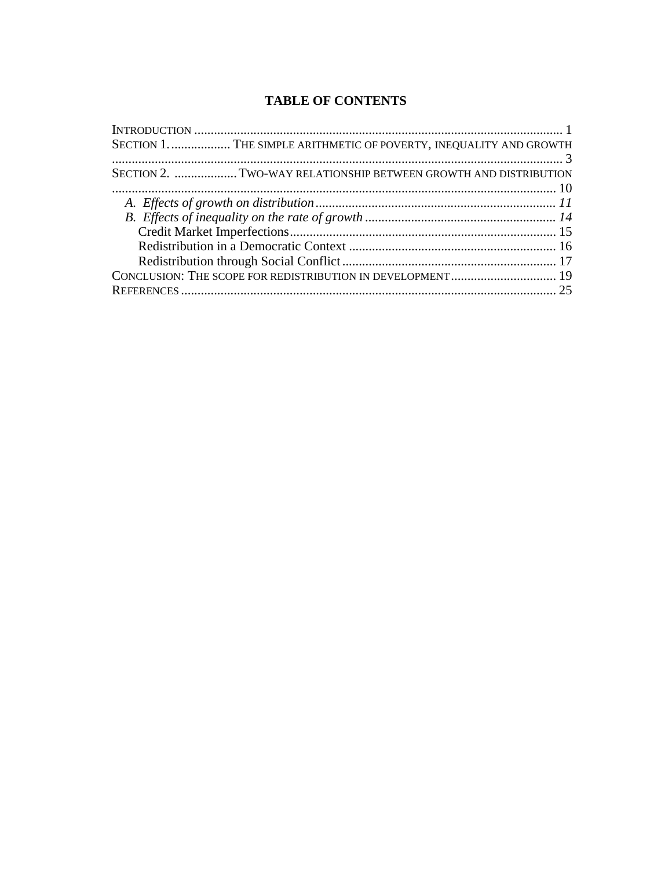# **TABLE OF CONTENTS**

| SECTION 1.  THE SIMPLE ARITHMETIC OF POVERTY, INEQUALITY AND GROWTH |  |
|---------------------------------------------------------------------|--|
|                                                                     |  |
| SECTION 2. TWO-WAY RELATIONSHIP BETWEEN GROWTH AND DISTRIBUTION     |  |
|                                                                     |  |
|                                                                     |  |
|                                                                     |  |
|                                                                     |  |
|                                                                     |  |
|                                                                     |  |
| CONCLUSION: THE SCOPE FOR REDISTRIBUTION IN DEVELOPMENT 19          |  |
|                                                                     |  |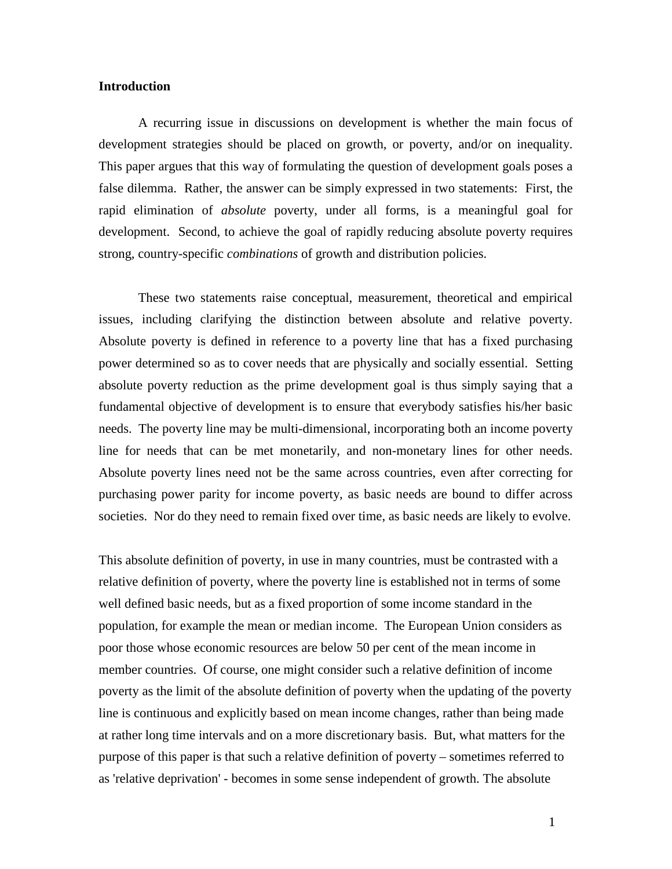#### **Introduction**

A recurring issue in discussions on development is whether the main focus of development strategies should be placed on growth, or poverty, and/or on inequality. This paper argues that this way of formulating the question of development goals poses a false dilemma. Rather, the answer can be simply expressed in two statements: First, the rapid elimination of *absolute* poverty, under all forms, is a meaningful goal for development. Second, to achieve the goal of rapidly reducing absolute poverty requires strong, country-specific *combinations* of growth and distribution policies.

These two statements raise conceptual, measurement, theoretical and empirical issues, including clarifying the distinction between absolute and relative poverty. Absolute poverty is defined in reference to a poverty line that has a fixed purchasing power determined so as to cover needs that are physically and socially essential. Setting absolute poverty reduction as the prime development goal is thus simply saying that a fundamental objective of development is to ensure that everybody satisfies his/her basic needs. The poverty line may be multi-dimensional, incorporating both an income poverty line for needs that can be met monetarily, and non-monetary lines for other needs. Absolute poverty lines need not be the same across countries, even after correcting for purchasing power parity for income poverty, as basic needs are bound to differ across societies. Nor do they need to remain fixed over time, as basic needs are likely to evolve.

This absolute definition of poverty, in use in many countries, must be contrasted with a relative definition of poverty, where the poverty line is established not in terms of some well defined basic needs, but as a fixed proportion of some income standard in the population, for example the mean or median income. The European Union considers as poor those whose economic resources are below 50 per cent of the mean income in member countries. Of course, one might consider such a relative definition of income poverty as the limit of the absolute definition of poverty when the updating of the poverty line is continuous and explicitly based on mean income changes, rather than being made at rather long time intervals and on a more discretionary basis. But, what matters for the purpose of this paper is that such a relative definition of poverty – sometimes referred to as 'relative deprivation' - becomes in some sense independent of growth. The absolute

1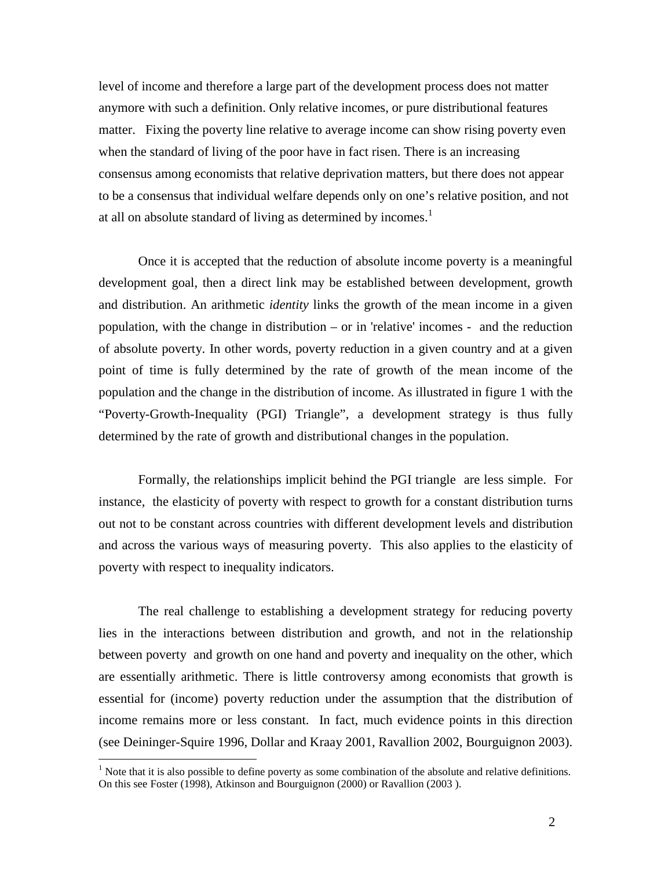level of income and therefore a large part of the development process does not matter anymore with such a definition. Only relative incomes, or pure distributional features matter. Fixing the poverty line relative to average income can show rising poverty even when the standard of living of the poor have in fact risen. There is an increasing consensus among economists that relative deprivation matters, but there does not appear to be a consensus that individual welfare depends only on one's relative position, and not at all on absolute standard of living as determined by incomes.<sup>1</sup>

Once it is accepted that the reduction of absolute income poverty is a meaningful development goal, then a direct link may be established between development, growth and distribution. An arithmetic *identity* links the growth of the mean income in a given population, with the change in distribution – or in 'relative' incomes - and the reduction of absolute poverty. In other words, poverty reduction in a given country and at a given point of time is fully determined by the rate of growth of the mean income of the population and the change in the distribution of income. As illustrated in figure 1 with the "Poverty-Growth-Inequality (PGI) Triangle", a development strategy is thus fully determined by the rate of growth and distributional changes in the population.

 Formally, the relationships implicit behind the PGI triangle are less simple. For instance, the elasticity of poverty with respect to growth for a constant distribution turns out not to be constant across countries with different development levels and distribution and across the various ways of measuring poverty. This also applies to the elasticity of poverty with respect to inequality indicators.

The real challenge to establishing a development strategy for reducing poverty lies in the interactions between distribution and growth, and not in the relationship between poverty and growth on one hand and poverty and inequality on the other, which are essentially arithmetic. There is little controversy among economists that growth is essential for (income) poverty reduction under the assumption that the distribution of income remains more or less constant. In fact, much evidence points in this direction (see Deininger-Squire 1996, Dollar and Kraay 2001, Ravallion 2002, Bourguignon 2003).

<u>.</u>

 $<sup>1</sup>$  Note that it is also possible to define poverty as some combination of the absolute and relative definitions.</sup> On this see Foster (1998), Atkinson and Bourguignon (2000) or Ravallion (2003 ).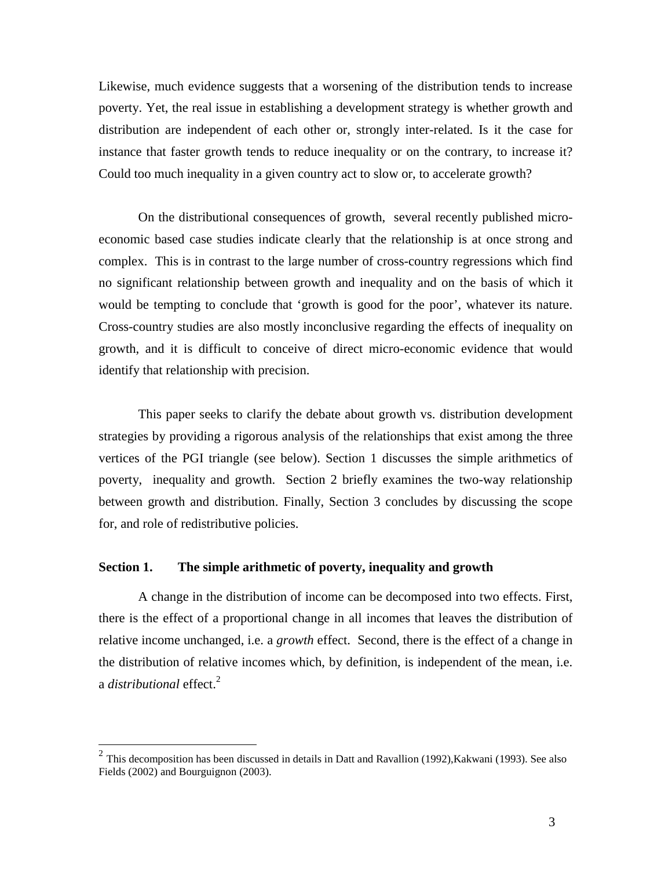Likewise, much evidence suggests that a worsening of the distribution tends to increase poverty. Yet, the real issue in establishing a development strategy is whether growth and distribution are independent of each other or, strongly inter-related. Is it the case for instance that faster growth tends to reduce inequality or on the contrary, to increase it? Could too much inequality in a given country act to slow or, to accelerate growth?

On the distributional consequences of growth, several recently published microeconomic based case studies indicate clearly that the relationship is at once strong and complex. This is in contrast to the large number of cross-country regressions which find no significant relationship between growth and inequality and on the basis of which it would be tempting to conclude that 'growth is good for the poor', whatever its nature. Cross-country studies are also mostly inconclusive regarding the effects of inequality on growth, and it is difficult to conceive of direct micro-economic evidence that would identify that relationship with precision.

This paper seeks to clarify the debate about growth vs. distribution development strategies by providing a rigorous analysis of the relationships that exist among the three vertices of the PGI triangle (see below). Section 1 discusses the simple arithmetics of poverty, inequality and growth. Section 2 briefly examines the two-way relationship between growth and distribution. Finally, Section 3 concludes by discussing the scope for, and role of redistributive policies.

# **Section 1. The simple arithmetic of poverty, inequality and growth**

<u>.</u>

A change in the distribution of income can be decomposed into two effects. First, there is the effect of a proportional change in all incomes that leaves the distribution of relative income unchanged, i.e. a *growth* effect. Second, there is the effect of a change in the distribution of relative incomes which, by definition, is independent of the mean, i.e. a *distributional* effect.<sup>2</sup>

<sup>2</sup> This decomposition has been discussed in details in Datt and Ravallion (1992),Kakwani (1993). See also Fields (2002) and Bourguignon (2003).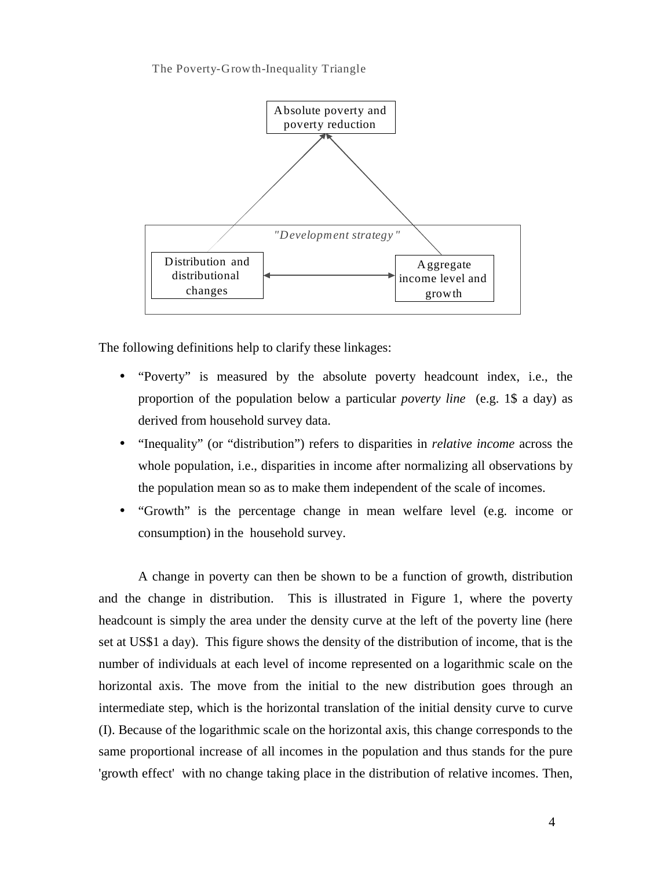The Poverty-Growth-Inequality Triangle



The following definitions help to clarify these linkages:

- "Poverty" is measured by the absolute poverty headcount index, i.e., the proportion of the population below a particular *poverty line* (e.g. 1\$ a day) as derived from household survey data.
- "Inequality" (or "distribution") refers to disparities in *relative income* across the whole population, i.e., disparities in income after normalizing all observations by the population mean so as to make them independent of the scale of incomes.
- "Growth" is the percentage change in mean welfare level (e.g. income or consumption) in the household survey.

A change in poverty can then be shown to be a function of growth, distribution and the change in distribution. This is illustrated in Figure 1, where the poverty headcount is simply the area under the density curve at the left of the poverty line (here set at US\$1 a day). This figure shows the density of the distribution of income, that is the number of individuals at each level of income represented on a logarithmic scale on the horizontal axis. The move from the initial to the new distribution goes through an intermediate step, which is the horizontal translation of the initial density curve to curve (I). Because of the logarithmic scale on the horizontal axis, this change corresponds to the same proportional increase of all incomes in the population and thus stands for the pure 'growth effect' with no change taking place in the distribution of relative incomes. Then,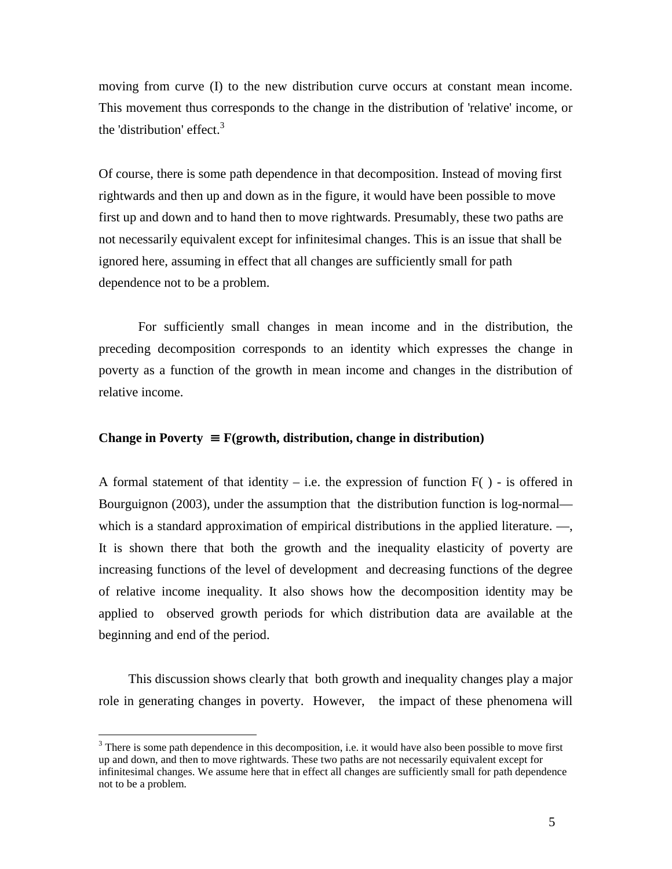moving from curve (I) to the new distribution curve occurs at constant mean income. This movement thus corresponds to the change in the distribution of 'relative' income, or the 'distribution' effect. $3$ 

Of course, there is some path dependence in that decomposition. Instead of moving first rightwards and then up and down as in the figure, it would have been possible to move first up and down and to hand then to move rightwards. Presumably, these two paths are not necessarily equivalent except for infinitesimal changes. This is an issue that shall be ignored here, assuming in effect that all changes are sufficiently small for path dependence not to be a problem.

For sufficiently small changes in mean income and in the distribution, the preceding decomposition corresponds to an identity which expresses the change in poverty as a function of the growth in mean income and changes in the distribution of relative income.

## **Change in Poverty** ≡ **F(growth, distribution, change in distribution)**

A formal statement of that identity – i.e. the expression of function  $F( )$  - is offered in Bourguignon (2003), under the assumption that the distribution function is log-normal which is a standard approximation of empirical distributions in the applied literature. —, It is shown there that both the growth and the inequality elasticity of poverty are increasing functions of the level of development and decreasing functions of the degree of relative income inequality. It also shows how the decomposition identity may be applied to observed growth periods for which distribution data are available at the beginning and end of the period.

This discussion shows clearly that both growth and inequality changes play a major role in generating changes in poverty. However, the impact of these phenomena will

<u>.</u>

 $3$  There is some path dependence in this decomposition, i.e. it would have also been possible to move first up and down, and then to move rightwards. These two paths are not necessarily equivalent except for infinitesimal changes. We assume here that in effect all changes are sufficiently small for path dependence not to be a problem.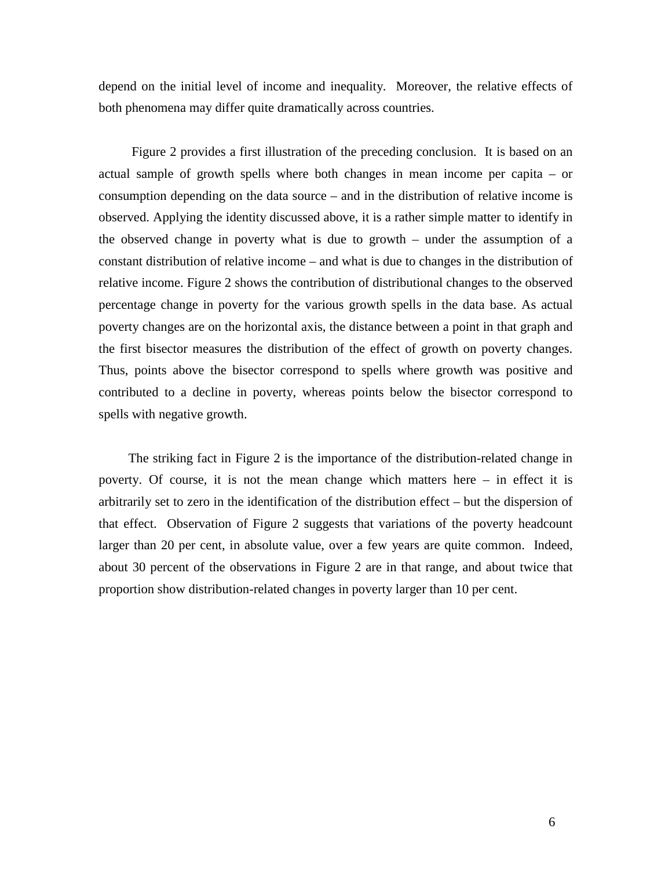depend on the initial level of income and inequality. Moreover, the relative effects of both phenomena may differ quite dramatically across countries.

 Figure 2 provides a first illustration of the preceding conclusion. It is based on an actual sample of growth spells where both changes in mean income per capita – or consumption depending on the data source – and in the distribution of relative income is observed. Applying the identity discussed above, it is a rather simple matter to identify in the observed change in poverty what is due to growth – under the assumption of a constant distribution of relative income – and what is due to changes in the distribution of relative income. Figure 2 shows the contribution of distributional changes to the observed percentage change in poverty for the various growth spells in the data base. As actual poverty changes are on the horizontal axis, the distance between a point in that graph and the first bisector measures the distribution of the effect of growth on poverty changes. Thus, points above the bisector correspond to spells where growth was positive and contributed to a decline in poverty, whereas points below the bisector correspond to spells with negative growth.

The striking fact in Figure 2 is the importance of the distribution-related change in poverty. Of course, it is not the mean change which matters here – in effect it is arbitrarily set to zero in the identification of the distribution effect – but the dispersion of that effect. Observation of Figure 2 suggests that variations of the poverty headcount larger than 20 per cent, in absolute value, over a few years are quite common. Indeed, about 30 percent of the observations in Figure 2 are in that range, and about twice that proportion show distribution-related changes in poverty larger than 10 per cent.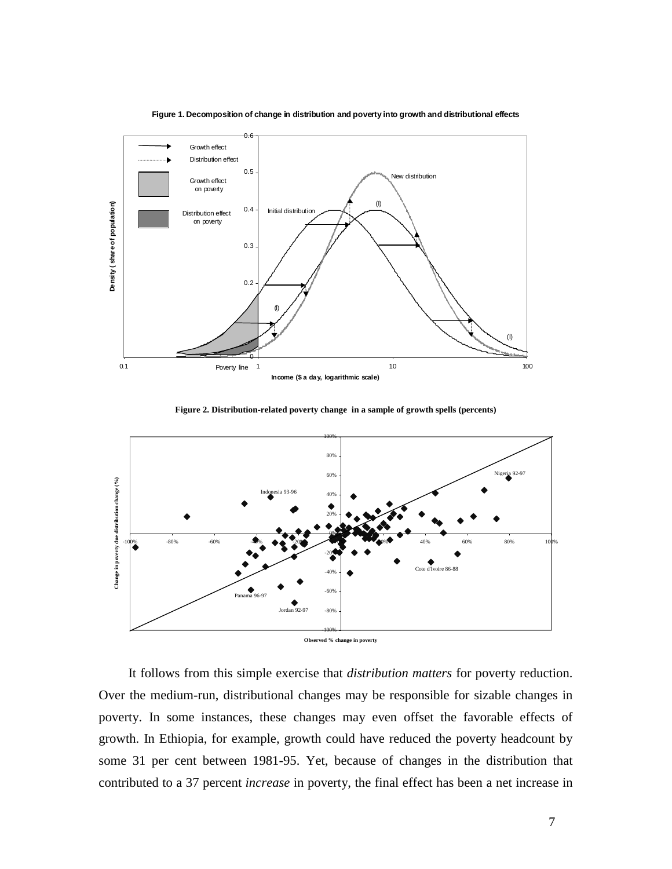

**Figure 1. Decomposition of change in distribution and poverty into growth and distributional effects**

**Figure 2. Distribution-related poverty change in a sample of growth spells (percents)** 



It follows from this simple exercise that *distribution matters* for poverty reduction. Over the medium-run, distributional changes may be responsible for sizable changes in poverty. In some instances, these changes may even offset the favorable effects of growth. In Ethiopia, for example, growth could have reduced the poverty headcount by some 31 per cent between 1981-95. Yet, because of changes in the distribution that contributed to a 37 percent *increase* in poverty, the final effect has been a net increase in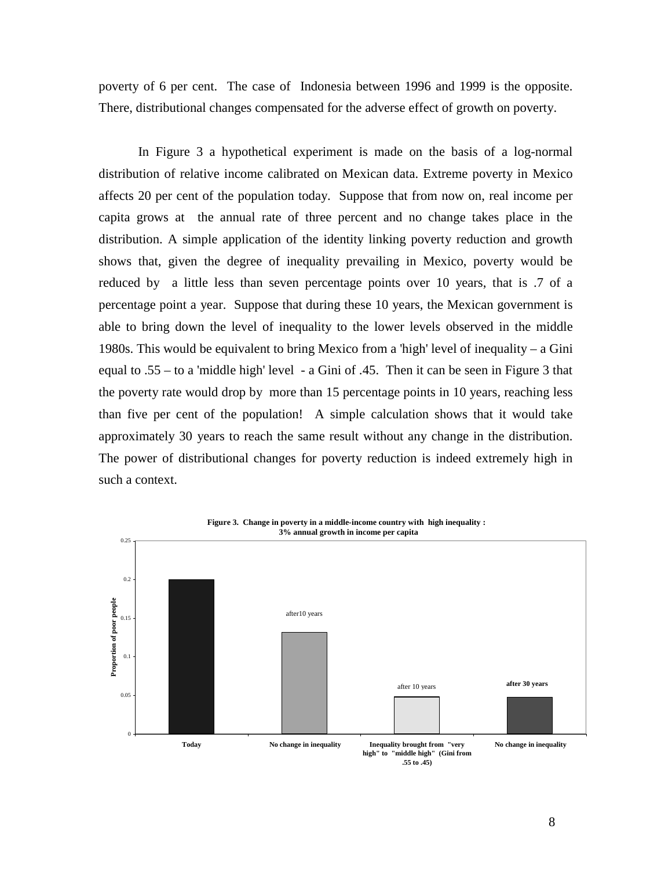poverty of 6 per cent. The case of Indonesia between 1996 and 1999 is the opposite. There, distributional changes compensated for the adverse effect of growth on poverty.

In Figure 3 a hypothetical experiment is made on the basis of a log-normal distribution of relative income calibrated on Mexican data. Extreme poverty in Mexico affects 20 per cent of the population today. Suppose that from now on, real income per capita grows at the annual rate of three percent and no change takes place in the distribution. A simple application of the identity linking poverty reduction and growth shows that, given the degree of inequality prevailing in Mexico, poverty would be reduced by a little less than seven percentage points over 10 years, that is .7 of a percentage point a year. Suppose that during these 10 years, the Mexican government is able to bring down the level of inequality to the lower levels observed in the middle 1980s. This would be equivalent to bring Mexico from a 'high' level of inequality – a Gini equal to .55 – to a 'middle high' level - a Gini of .45. Then it can be seen in Figure 3 that the poverty rate would drop by more than 15 percentage points in 10 years, reaching less than five per cent of the population! A simple calculation shows that it would take approximately 30 years to reach the same result without any change in the distribution. The power of distributional changes for poverty reduction is indeed extremely high in such a context.

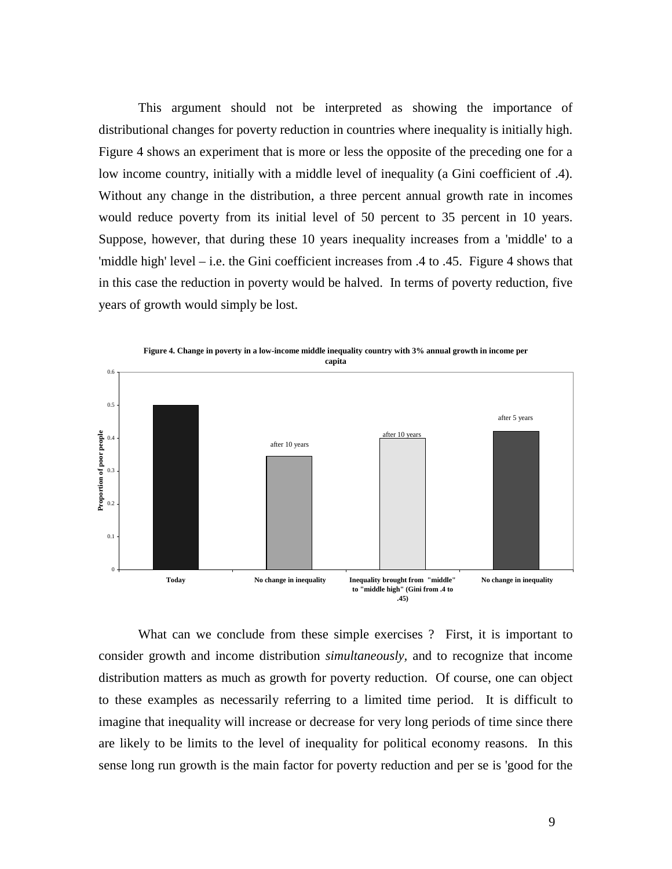This argument should not be interpreted as showing the importance of distributional changes for poverty reduction in countries where inequality is initially high. Figure 4 shows an experiment that is more or less the opposite of the preceding one for a low income country, initially with a middle level of inequality (a Gini coefficient of .4). Without any change in the distribution, a three percent annual growth rate in incomes would reduce poverty from its initial level of 50 percent to 35 percent in 10 years. Suppose, however, that during these 10 years inequality increases from a 'middle' to a 'middle high' level – i.e. the Gini coefficient increases from .4 to .45. Figure 4 shows that in this case the reduction in poverty would be halved. In terms of poverty reduction, five years of growth would simply be lost.



**Figure 4. Change in poverty in a low-income middle inequality country with 3% annual growth in income per** 

What can we conclude from these simple exercises ? First, it is important to consider growth and income distribution *simultaneously,* and to recognize that income distribution matters as much as growth for poverty reduction. Of course, one can object to these examples as necessarily referring to a limited time period. It is difficult to imagine that inequality will increase or decrease for very long periods of time since there are likely to be limits to the level of inequality for political economy reasons. In this sense long run growth is the main factor for poverty reduction and per se is 'good for the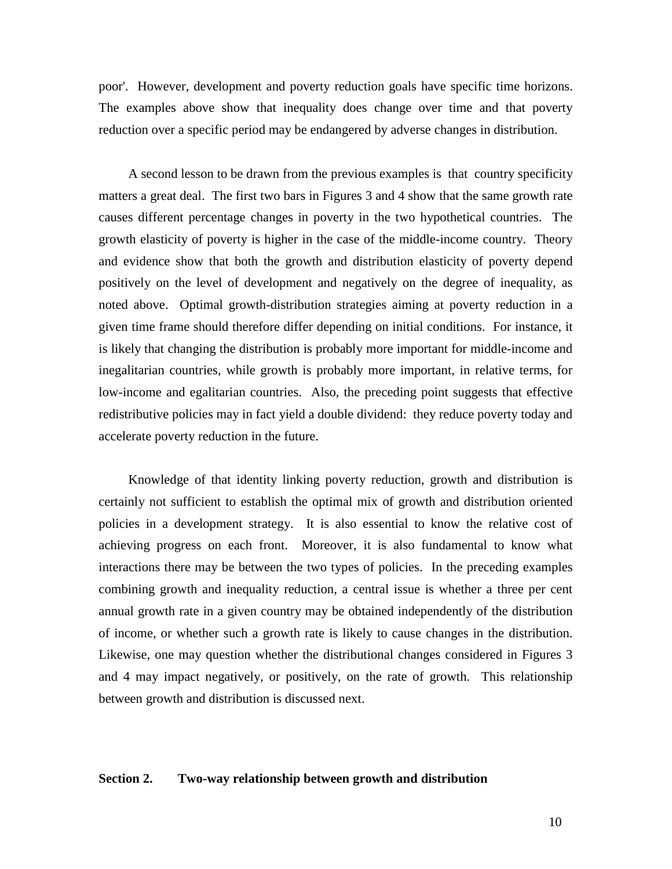poor'. However, development and poverty reduction goals have specific time horizons. The examples above show that inequality does change over time and that poverty reduction over a specific period may be endangered by adverse changes in distribution.

A second lesson to be drawn from the previous examples is that country specificity matters a great deal. The first two bars in Figures 3 and 4 show that the same growth rate causes different percentage changes in poverty in the two hypothetical countries. The growth elasticity of poverty is higher in the case of the middle-income country. Theory and evidence show that both the growth and distribution elasticity of poverty depend positively on the level of development and negatively on the degree of inequality, as noted above. Optimal growth-distribution strategies aiming at poverty reduction in a given time frame should therefore differ depending on initial conditions. For instance, it is likely that changing the distribution is probably more important for middle-income and inegalitarian countries, while growth is probably more important, in relative terms, for low-income and egalitarian countries. Also, the preceding point suggests that effective redistributive policies may in fact yield a double dividend: they reduce poverty today and accelerate poverty reduction in the future.

Knowledge of that identity linking poverty reduction, growth and distribution is certainly not sufficient to establish the optimal mix of growth and distribution oriented policies in a development strategy. It is also essential to know the relative cost of achieving progress on each front. Moreover, it is also fundamental to know what interactions there may be between the two types of policies. In the preceding examples combining growth and inequality reduction, a central issue is whether a three per cent annual growth rate in a given country may be obtained independently of the distribution of income, or whether such a growth rate is likely to cause changes in the distribution. Likewise, one may question whether the distributional changes considered in Figures 3 and 4 may impact negatively, or positively, on the rate of growth. This relationship between growth and distribution is discussed next.

## **Section 2. Two-way relationship between growth and distribution**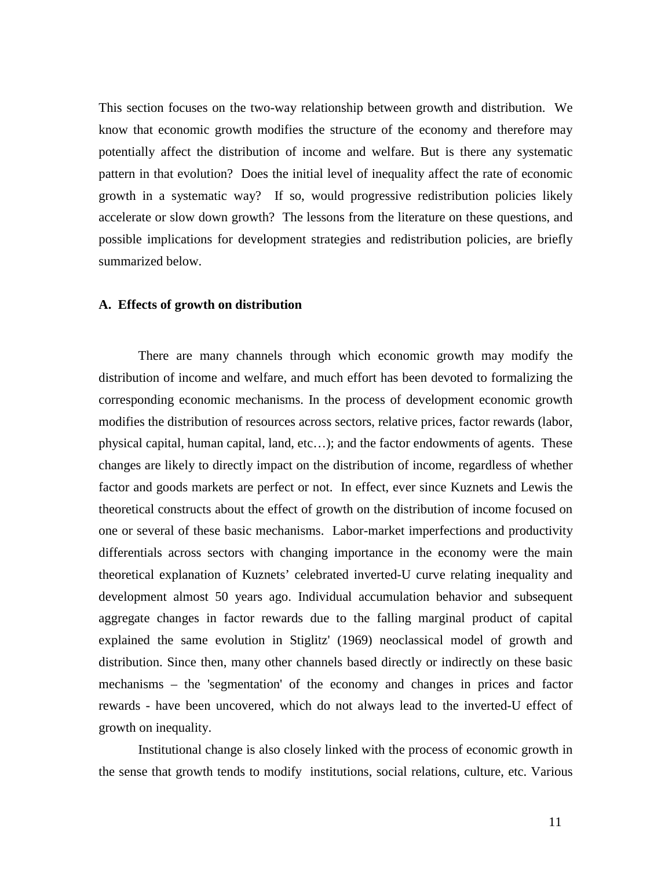This section focuses on the two-way relationship between growth and distribution. We know that economic growth modifies the structure of the economy and therefore may potentially affect the distribution of income and welfare. But is there any systematic pattern in that evolution? Does the initial level of inequality affect the rate of economic growth in a systematic way? If so, would progressive redistribution policies likely accelerate or slow down growth? The lessons from the literature on these questions, and possible implications for development strategies and redistribution policies, are briefly summarized below.

### **A. Effects of growth on distribution**

There are many channels through which economic growth may modify the distribution of income and welfare, and much effort has been devoted to formalizing the corresponding economic mechanisms. In the process of development economic growth modifies the distribution of resources across sectors, relative prices, factor rewards (labor, physical capital, human capital, land, etc…); and the factor endowments of agents. These changes are likely to directly impact on the distribution of income, regardless of whether factor and goods markets are perfect or not. In effect, ever since Kuznets and Lewis the theoretical constructs about the effect of growth on the distribution of income focused on one or several of these basic mechanisms. Labor-market imperfections and productivity differentials across sectors with changing importance in the economy were the main theoretical explanation of Kuznets' celebrated inverted-U curve relating inequality and development almost 50 years ago. Individual accumulation behavior and subsequent aggregate changes in factor rewards due to the falling marginal product of capital explained the same evolution in Stiglitz' (1969) neoclassical model of growth and distribution. Since then, many other channels based directly or indirectly on these basic mechanisms – the 'segmentation' of the economy and changes in prices and factor rewards - have been uncovered, which do not always lead to the inverted-U effect of growth on inequality.

Institutional change is also closely linked with the process of economic growth in the sense that growth tends to modify institutions, social relations, culture, etc. Various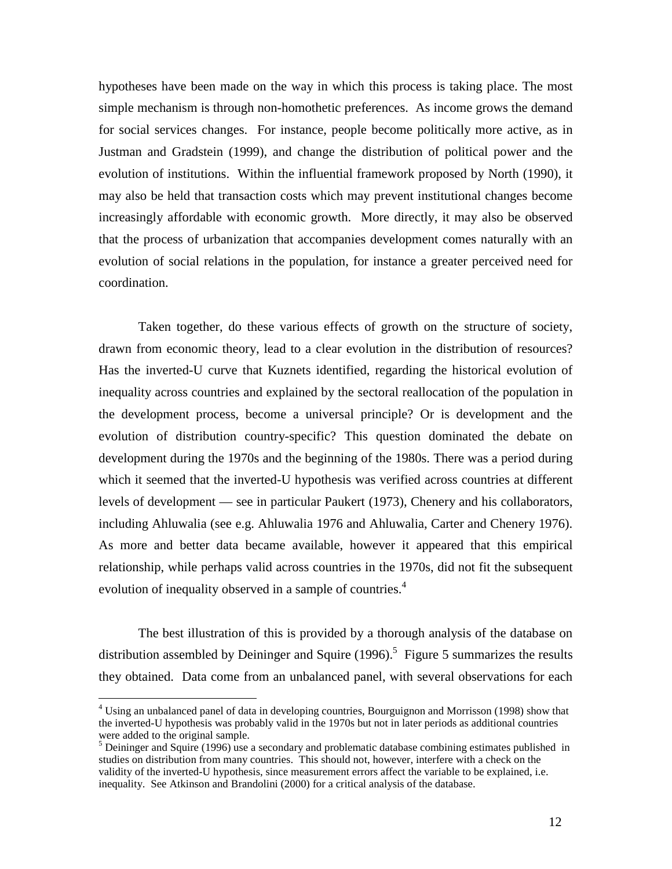hypotheses have been made on the way in which this process is taking place. The most simple mechanism is through non-homothetic preferences. As income grows the demand for social services changes. For instance, people become politically more active, as in Justman and Gradstein (1999), and change the distribution of political power and the evolution of institutions. Within the influential framework proposed by North (1990), it may also be held that transaction costs which may prevent institutional changes become increasingly affordable with economic growth. More directly, it may also be observed that the process of urbanization that accompanies development comes naturally with an evolution of social relations in the population, for instance a greater perceived need for coordination.

Taken together, do these various effects of growth on the structure of society, drawn from economic theory, lead to a clear evolution in the distribution of resources? Has the inverted-U curve that Kuznets identified, regarding the historical evolution of inequality across countries and explained by the sectoral reallocation of the population in the development process, become a universal principle? Or is development and the evolution of distribution country-specific? This question dominated the debate on development during the 1970s and the beginning of the 1980s. There was a period during which it seemed that the inverted-U hypothesis was verified across countries at different levels of development — see in particular Paukert (1973), Chenery and his collaborators, including Ahluwalia (see e.g. Ahluwalia 1976 and Ahluwalia, Carter and Chenery 1976). As more and better data became available, however it appeared that this empirical relationship, while perhaps valid across countries in the 1970s, did not fit the subsequent evolution of inequality observed in a sample of countries.<sup>4</sup>

The best illustration of this is provided by a thorough analysis of the database on distribution assembled by Deininger and Squire  $(1996)$ .<sup>5</sup> Figure 5 summarizes the results they obtained. Data come from an unbalanced panel, with several observations for each

<u>.</u>

<sup>&</sup>lt;sup>4</sup> Using an unbalanced panel of data in developing countries, Bourguignon and Morrisson (1998) show that the inverted-U hypothesis was probably valid in the 1970s but not in later periods as additional countries were added to the original sample.<br><sup>5</sup> Deininger and Squire (1996) use a secondary and problematic database combining estimates published in

studies on distribution from many countries. This should not, however, interfere with a check on the validity of the inverted-U hypothesis, since measurement errors affect the variable to be explained, i.e. inequality. See Atkinson and Brandolini (2000) for a critical analysis of the database.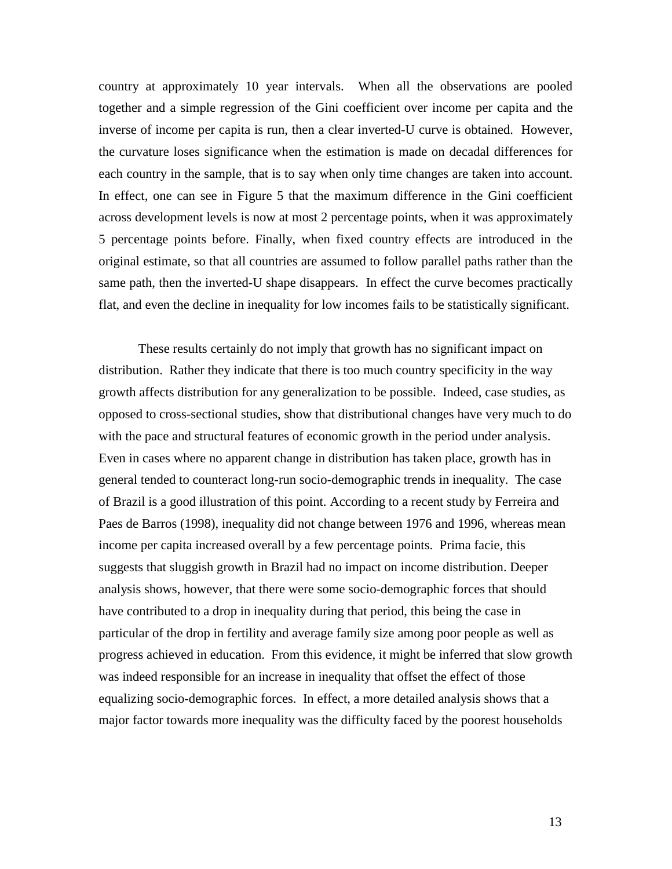country at approximately 10 year intervals. When all the observations are pooled together and a simple regression of the Gini coefficient over income per capita and the inverse of income per capita is run, then a clear inverted-U curve is obtained. However, the curvature loses significance when the estimation is made on decadal differences for each country in the sample, that is to say when only time changes are taken into account. In effect, one can see in Figure 5 that the maximum difference in the Gini coefficient across development levels is now at most 2 percentage points, when it was approximately 5 percentage points before. Finally, when fixed country effects are introduced in the original estimate, so that all countries are assumed to follow parallel paths rather than the same path, then the inverted-U shape disappears. In effect the curve becomes practically flat, and even the decline in inequality for low incomes fails to be statistically significant.

These results certainly do not imply that growth has no significant impact on distribution. Rather they indicate that there is too much country specificity in the way growth affects distribution for any generalization to be possible. Indeed, case studies, as opposed to cross-sectional studies, show that distributional changes have very much to do with the pace and structural features of economic growth in the period under analysis. Even in cases where no apparent change in distribution has taken place, growth has in general tended to counteract long-run socio-demographic trends in inequality. The case of Brazil is a good illustration of this point. According to a recent study by Ferreira and Paes de Barros (1998), inequality did not change between 1976 and 1996, whereas mean income per capita increased overall by a few percentage points. Prima facie, this suggests that sluggish growth in Brazil had no impact on income distribution. Deeper analysis shows, however, that there were some socio-demographic forces that should have contributed to a drop in inequality during that period, this being the case in particular of the drop in fertility and average family size among poor people as well as progress achieved in education. From this evidence, it might be inferred that slow growth was indeed responsible for an increase in inequality that offset the effect of those equalizing socio-demographic forces. In effect, a more detailed analysis shows that a major factor towards more inequality was the difficulty faced by the poorest households

13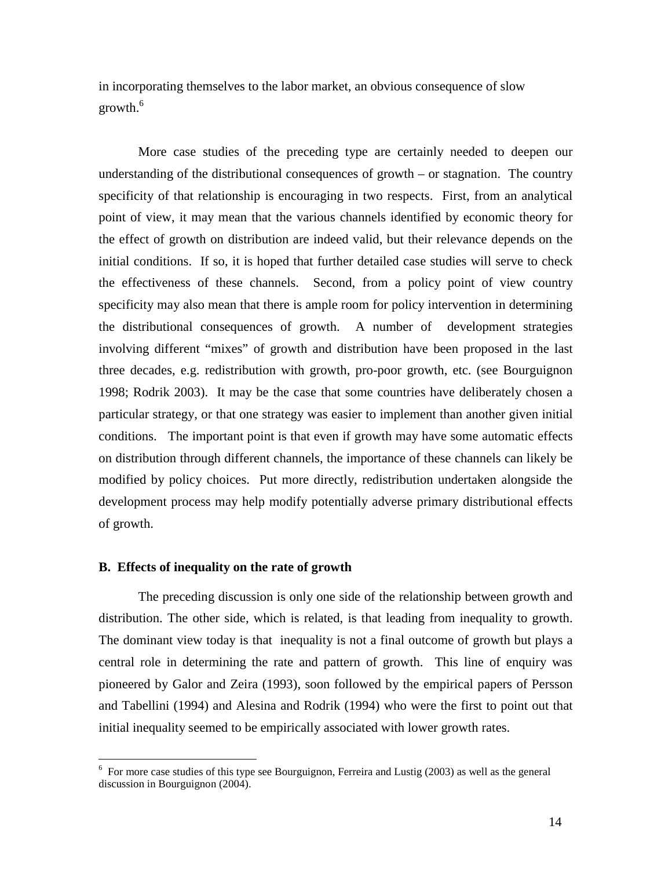in incorporating themselves to the labor market, an obvious consequence of slow growth.<sup>6</sup>

More case studies of the preceding type are certainly needed to deepen our understanding of the distributional consequences of growth – or stagnation. The country specificity of that relationship is encouraging in two respects. First, from an analytical point of view, it may mean that the various channels identified by economic theory for the effect of growth on distribution are indeed valid, but their relevance depends on the initial conditions. If so, it is hoped that further detailed case studies will serve to check the effectiveness of these channels. Second, from a policy point of view country specificity may also mean that there is ample room for policy intervention in determining the distributional consequences of growth. A number of development strategies involving different "mixes" of growth and distribution have been proposed in the last three decades, e.g. redistribution with growth, pro-poor growth, etc. (see Bourguignon 1998; Rodrik 2003). It may be the case that some countries have deliberately chosen a particular strategy, or that one strategy was easier to implement than another given initial conditions. The important point is that even if growth may have some automatic effects on distribution through different channels, the importance of these channels can likely be modified by policy choices. Put more directly, redistribution undertaken alongside the development process may help modify potentially adverse primary distributional effects of growth.

# **B. Effects of inequality on the rate of growth**

The preceding discussion is only one side of the relationship between growth and distribution. The other side, which is related, is that leading from inequality to growth. The dominant view today is that inequality is not a final outcome of growth but plays a central role in determining the rate and pattern of growth. This line of enquiry was pioneered by Galor and Zeira (1993), soon followed by the empirical papers of Persson and Tabellini (1994) and Alesina and Rodrik (1994) who were the first to point out that initial inequality seemed to be empirically associated with lower growth rates.

<sup>&</sup>lt;sup>6</sup> For more case studies of this type see Bourguignon, Ferreira and Lustig (2003) as well as the general discussion in Bourguignon (2004).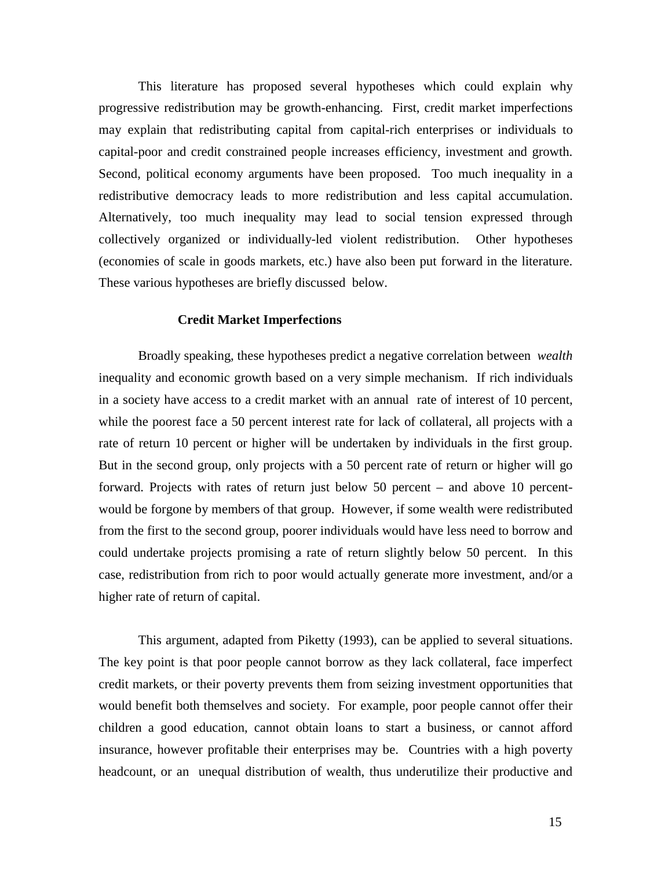This literature has proposed several hypotheses which could explain why progressive redistribution may be growth-enhancing. First, credit market imperfections may explain that redistributing capital from capital-rich enterprises or individuals to capital-poor and credit constrained people increases efficiency, investment and growth. Second, political economy arguments have been proposed. Too much inequality in a redistributive democracy leads to more redistribution and less capital accumulation. Alternatively, too much inequality may lead to social tension expressed through collectively organized or individually-led violent redistribution. Other hypotheses (economies of scale in goods markets, etc.) have also been put forward in the literature. These various hypotheses are briefly discussed below.

## **Credit Market Imperfections**

Broadly speaking, these hypotheses predict a negative correlation between *wealth* inequality and economic growth based on a very simple mechanism. If rich individuals in a society have access to a credit market with an annual rate of interest of 10 percent, while the poorest face a 50 percent interest rate for lack of collateral, all projects with a rate of return 10 percent or higher will be undertaken by individuals in the first group. But in the second group, only projects with a 50 percent rate of return or higher will go forward. Projects with rates of return just below 50 percent – and above 10 percentwould be forgone by members of that group. However, if some wealth were redistributed from the first to the second group, poorer individuals would have less need to borrow and could undertake projects promising a rate of return slightly below 50 percent. In this case, redistribution from rich to poor would actually generate more investment, and/or a higher rate of return of capital.

This argument, adapted from Piketty (1993), can be applied to several situations. The key point is that poor people cannot borrow as they lack collateral, face imperfect credit markets, or their poverty prevents them from seizing investment opportunities that would benefit both themselves and society. For example, poor people cannot offer their children a good education, cannot obtain loans to start a business, or cannot afford insurance, however profitable their enterprises may be. Countries with a high poverty headcount, or an unequal distribution of wealth, thus underutilize their productive and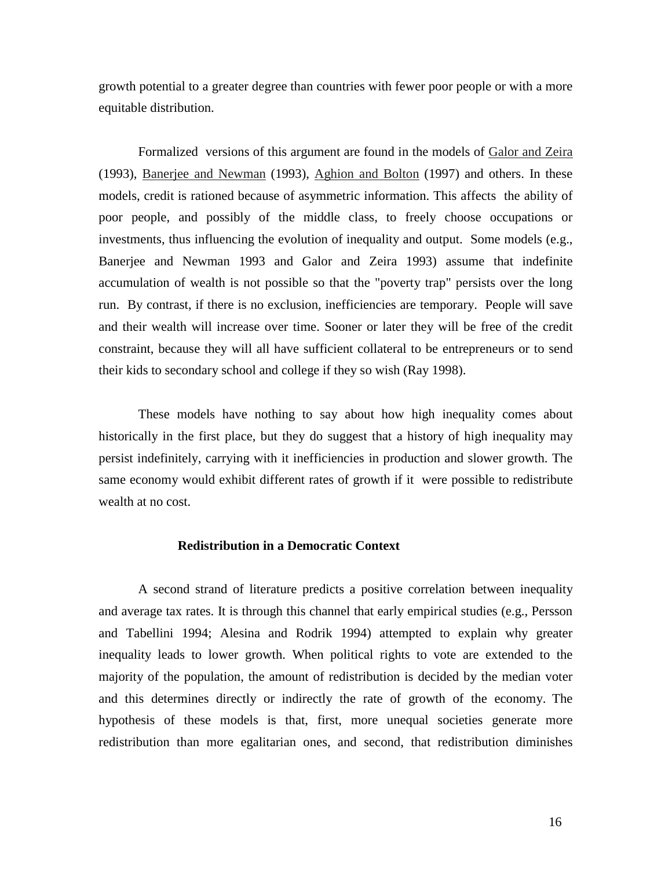growth potential to a greater degree than countries with fewer poor people or with a more equitable distribution.

Formalized versions of this argument are found in the models of Galor and Zeira (1993), Banerjee and Newman (1993), Aghion and Bolton (1997) and others. In these models, credit is rationed because of asymmetric information. This affects the ability of poor people, and possibly of the middle class, to freely choose occupations or investments, thus influencing the evolution of inequality and output. Some models (e.g., Banerjee and Newman 1993 and Galor and Zeira 1993) assume that indefinite accumulation of wealth is not possible so that the "poverty trap" persists over the long run. By contrast, if there is no exclusion, inefficiencies are temporary. People will save and their wealth will increase over time. Sooner or later they will be free of the credit constraint, because they will all have sufficient collateral to be entrepreneurs or to send their kids to secondary school and college if they so wish (Ray 1998).

These models have nothing to say about how high inequality comes about historically in the first place, but they do suggest that a history of high inequality may persist indefinitely, carrying with it inefficiencies in production and slower growth. The same economy would exhibit different rates of growth if it were possible to redistribute wealth at no cost.

#### **Redistribution in a Democratic Context**

A second strand of literature predicts a positive correlation between inequality and average tax rates. It is through this channel that early empirical studies (e.g., Persson and Tabellini 1994; Alesina and Rodrik 1994) attempted to explain why greater inequality leads to lower growth. When political rights to vote are extended to the majority of the population, the amount of redistribution is decided by the median voter and this determines directly or indirectly the rate of growth of the economy. The hypothesis of these models is that, first, more unequal societies generate more redistribution than more egalitarian ones, and second, that redistribution diminishes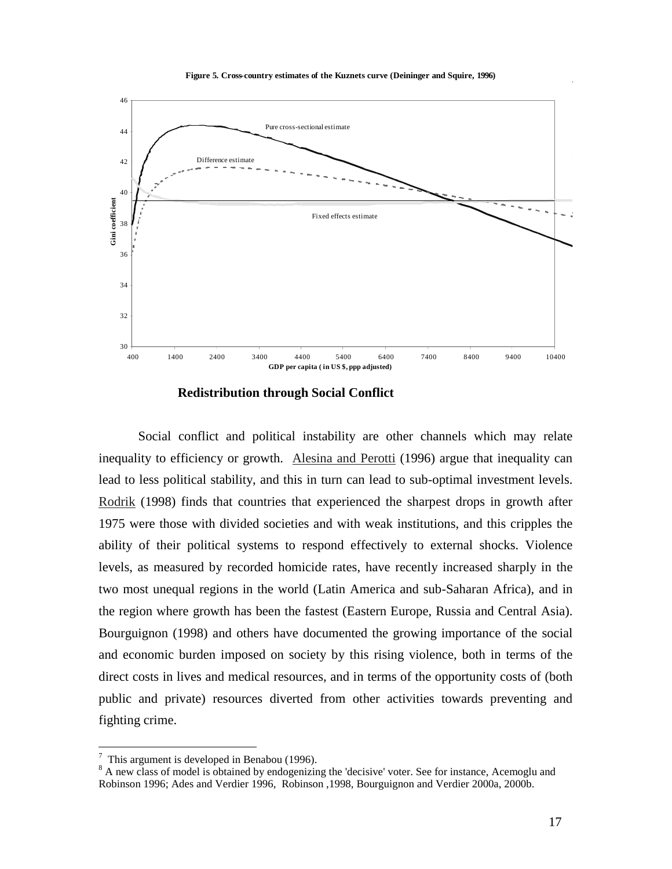**Figure 5. Cross-country estimates of the Kuznets curve (Deininger and Squire, 1996)**



 **Redistribution through Social Conflict** 

Social conflict and political instability are other channels which may relate inequality to efficiency or growth. Alesina and Perotti (1996) argue that inequality can lead to less political stability, and this in turn can lead to sub-optimal investment levels. Rodrik (1998) finds that countries that experienced the sharpest drops in growth after 1975 were those with divided societies and with weak institutions, and this cripples the ability of their political systems to respond effectively to external shocks. Violence levels, as measured by recorded homicide rates, have recently increased sharply in the two most unequal regions in the world (Latin America and sub-Saharan Africa), and in the region where growth has been the fastest (Eastern Europe, Russia and Central Asia). Bourguignon (1998) and others have documented the growing importance of the social and economic burden imposed on society by this rising violence, both in terms of the direct costs in lives and medical resources, and in terms of the opportunity costs of (both public and private) resources diverted from other activities towards preventing and fighting crime.

This argument is developed in Benabou (1996).

<sup>&</sup>lt;sup>8</sup> A new class of model is obtained by endogenizing the 'decisive' voter. See for instance, Acemoglu and Robinson 1996; Ades and Verdier 1996, Robinson ,1998, Bourguignon and Verdier 2000a, 2000b.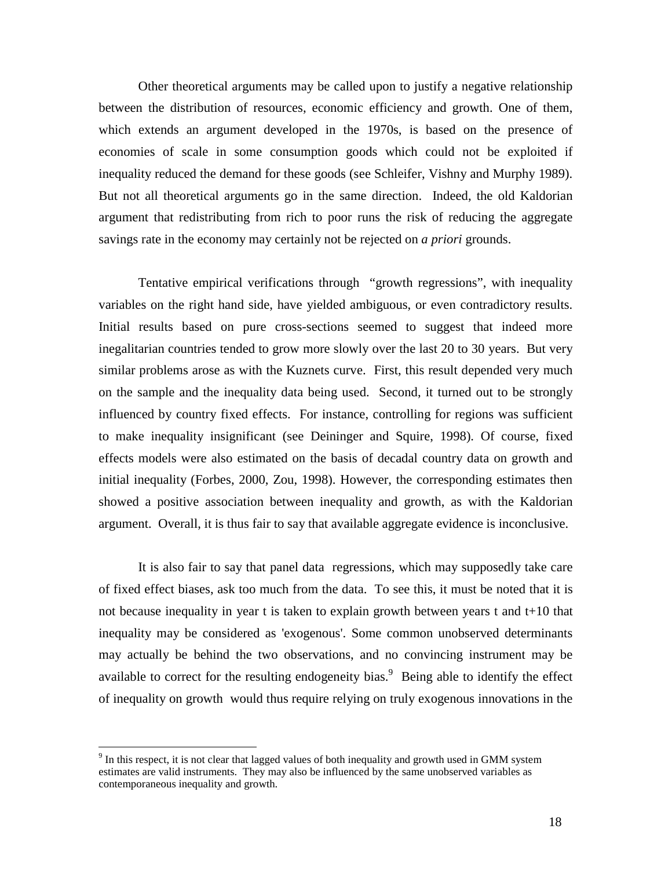Other theoretical arguments may be called upon to justify a negative relationship between the distribution of resources, economic efficiency and growth. One of them, which extends an argument developed in the 1970s, is based on the presence of economies of scale in some consumption goods which could not be exploited if inequality reduced the demand for these goods (see Schleifer, Vishny and Murphy 1989). But not all theoretical arguments go in the same direction. Indeed, the old Kaldorian argument that redistributing from rich to poor runs the risk of reducing the aggregate savings rate in the economy may certainly not be rejected on *a priori* grounds.

Tentative empirical verifications through "growth regressions", with inequality variables on the right hand side, have yielded ambiguous, or even contradictory results. Initial results based on pure cross-sections seemed to suggest that indeed more inegalitarian countries tended to grow more slowly over the last 20 to 30 years. But very similar problems arose as with the Kuznets curve. First, this result depended very much on the sample and the inequality data being used. Second, it turned out to be strongly influenced by country fixed effects. For instance, controlling for regions was sufficient to make inequality insignificant (see Deininger and Squire, 1998). Of course, fixed effects models were also estimated on the basis of decadal country data on growth and initial inequality (Forbes, 2000, Zou, 1998). However, the corresponding estimates then showed a positive association between inequality and growth, as with the Kaldorian argument. Overall, it is thus fair to say that available aggregate evidence is inconclusive.

It is also fair to say that panel data regressions, which may supposedly take care of fixed effect biases, ask too much from the data. To see this, it must be noted that it is not because inequality in year t is taken to explain growth between years t and t+10 that inequality may be considered as 'exogenous'. Some common unobserved determinants may actually be behind the two observations, and no convincing instrument may be available to correct for the resulting endogeneity bias. $9$  Being able to identify the effect of inequality on growth would thus require relying on truly exogenous innovations in the

<u>.</u>

 $9$  In this respect, it is not clear that lagged values of both inequality and growth used in GMM system estimates are valid instruments. They may also be influenced by the same unobserved variables as contemporaneous inequality and growth.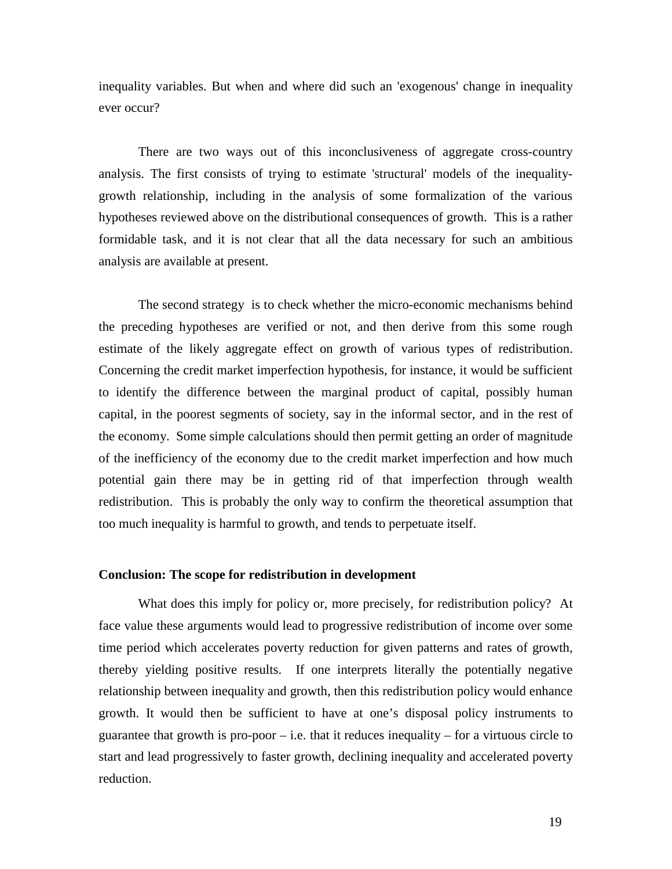inequality variables. But when and where did such an 'exogenous' change in inequality ever occur?

There are two ways out of this inconclusiveness of aggregate cross-country analysis. The first consists of trying to estimate 'structural' models of the inequalitygrowth relationship, including in the analysis of some formalization of the various hypotheses reviewed above on the distributional consequences of growth. This is a rather formidable task, and it is not clear that all the data necessary for such an ambitious analysis are available at present.

The second strategy is to check whether the micro-economic mechanisms behind the preceding hypotheses are verified or not, and then derive from this some rough estimate of the likely aggregate effect on growth of various types of redistribution. Concerning the credit market imperfection hypothesis, for instance, it would be sufficient to identify the difference between the marginal product of capital, possibly human capital, in the poorest segments of society, say in the informal sector, and in the rest of the economy. Some simple calculations should then permit getting an order of magnitude of the inefficiency of the economy due to the credit market imperfection and how much potential gain there may be in getting rid of that imperfection through wealth redistribution. This is probably the only way to confirm the theoretical assumption that too much inequality is harmful to growth, and tends to perpetuate itself.

#### **Conclusion: The scope for redistribution in development**

What does this imply for policy or, more precisely, for redistribution policy? At face value these arguments would lead to progressive redistribution of income over some time period which accelerates poverty reduction for given patterns and rates of growth, thereby yielding positive results. If one interprets literally the potentially negative relationship between inequality and growth, then this redistribution policy would enhance growth. It would then be sufficient to have at one's disposal policy instruments to guarantee that growth is pro-poor  $-$  i.e. that it reduces inequality  $-$  for a virtuous circle to start and lead progressively to faster growth, declining inequality and accelerated poverty reduction.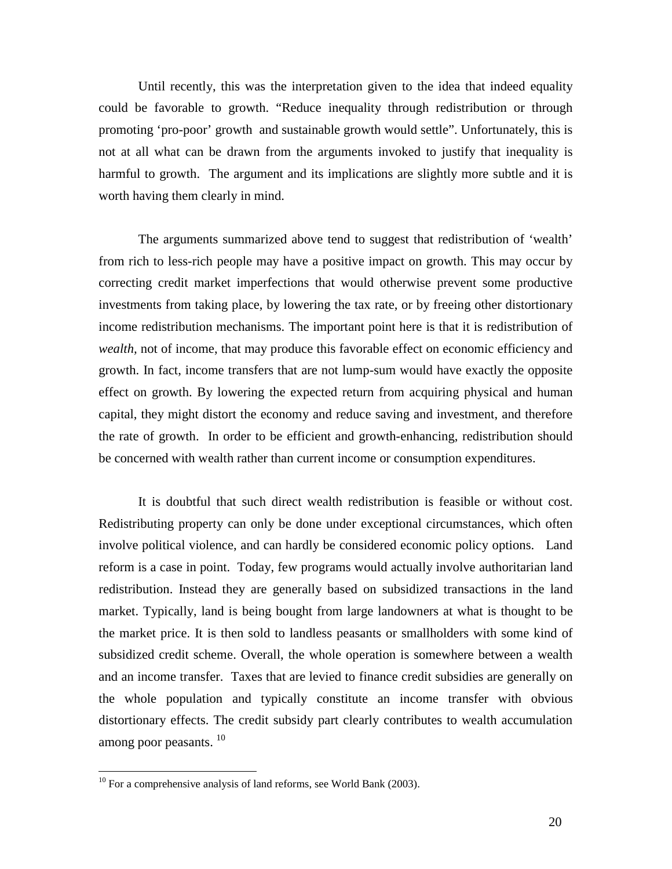Until recently, this was the interpretation given to the idea that indeed equality could be favorable to growth. "Reduce inequality through redistribution or through promoting 'pro-poor' growth and sustainable growth would settle". Unfortunately, this is not at all what can be drawn from the arguments invoked to justify that inequality is harmful to growth. The argument and its implications are slightly more subtle and it is worth having them clearly in mind.

The arguments summarized above tend to suggest that redistribution of 'wealth' from rich to less-rich people may have a positive impact on growth. This may occur by correcting credit market imperfections that would otherwise prevent some productive investments from taking place, by lowering the tax rate, or by freeing other distortionary income redistribution mechanisms. The important point here is that it is redistribution of *wealth,* not of income, that may produce this favorable effect on economic efficiency and growth. In fact, income transfers that are not lump-sum would have exactly the opposite effect on growth. By lowering the expected return from acquiring physical and human capital, they might distort the economy and reduce saving and investment, and therefore the rate of growth. In order to be efficient and growth-enhancing, redistribution should be concerned with wealth rather than current income or consumption expenditures.

It is doubtful that such direct wealth redistribution is feasible or without cost. Redistributing property can only be done under exceptional circumstances, which often involve political violence, and can hardly be considered economic policy options. Land reform is a case in point. Today, few programs would actually involve authoritarian land redistribution. Instead they are generally based on subsidized transactions in the land market. Typically, land is being bought from large landowners at what is thought to be the market price. It is then sold to landless peasants or smallholders with some kind of subsidized credit scheme. Overall, the whole operation is somewhere between a wealth and an income transfer. Taxes that are levied to finance credit subsidies are generally on the whole population and typically constitute an income transfer with obvious distortionary effects. The credit subsidy part clearly contributes to wealth accumulation among poor peasants.<sup>10</sup>

<u>.</u>

 $10$  For a comprehensive analysis of land reforms, see World Bank (2003).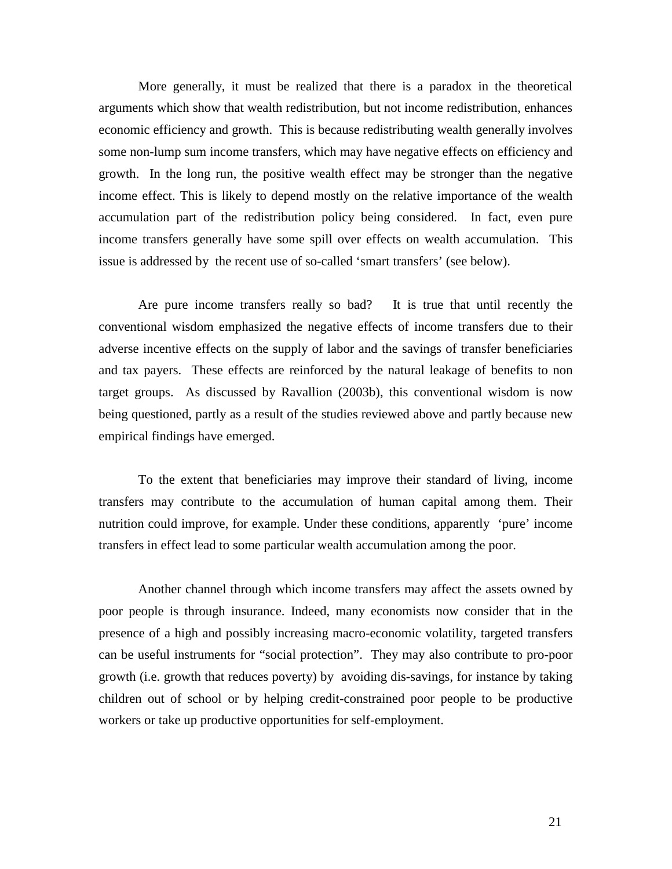More generally, it must be realized that there is a paradox in the theoretical arguments which show that wealth redistribution, but not income redistribution, enhances economic efficiency and growth. This is because redistributing wealth generally involves some non-lump sum income transfers, which may have negative effects on efficiency and growth. In the long run, the positive wealth effect may be stronger than the negative income effect. This is likely to depend mostly on the relative importance of the wealth accumulation part of the redistribution policy being considered. In fact, even pure income transfers generally have some spill over effects on wealth accumulation. This issue is addressed by the recent use of so-called 'smart transfers' (see below).

Are pure income transfers really so bad? It is true that until recently the conventional wisdom emphasized the negative effects of income transfers due to their adverse incentive effects on the supply of labor and the savings of transfer beneficiaries and tax payers. These effects are reinforced by the natural leakage of benefits to non target groups. As discussed by Ravallion (2003b), this conventional wisdom is now being questioned, partly as a result of the studies reviewed above and partly because new empirical findings have emerged.

To the extent that beneficiaries may improve their standard of living, income transfers may contribute to the accumulation of human capital among them. Their nutrition could improve, for example. Under these conditions, apparently 'pure' income transfers in effect lead to some particular wealth accumulation among the poor.

Another channel through which income transfers may affect the assets owned by poor people is through insurance. Indeed, many economists now consider that in the presence of a high and possibly increasing macro-economic volatility, targeted transfers can be useful instruments for "social protection". They may also contribute to pro-poor growth (i.e. growth that reduces poverty) by avoiding dis-savings, for instance by taking children out of school or by helping credit-constrained poor people to be productive workers or take up productive opportunities for self-employment.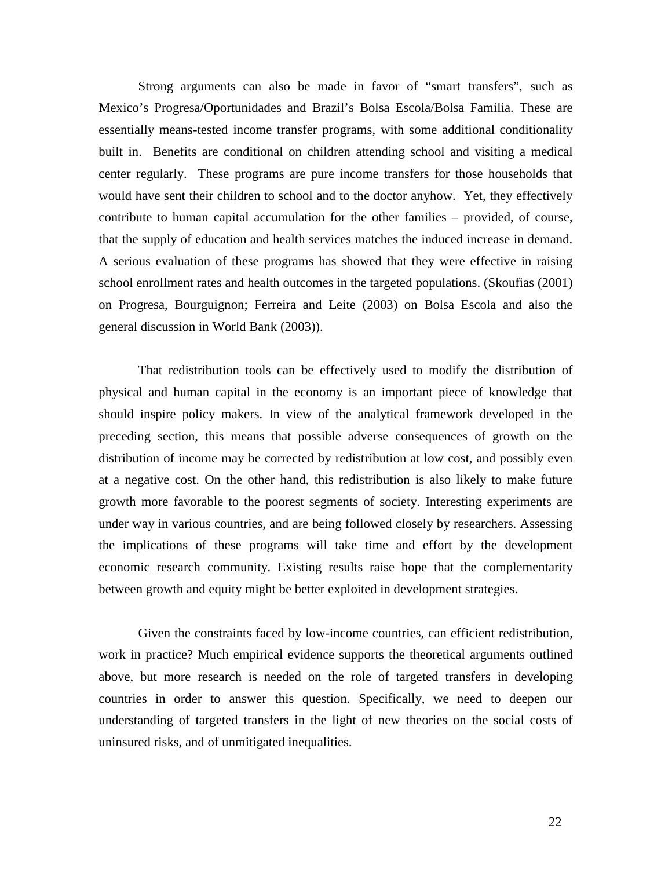Strong arguments can also be made in favor of "smart transfers", such as Mexico's Progresa/Oportunidades and Brazil's Bolsa Escola/Bolsa Familia. These are essentially means-tested income transfer programs, with some additional conditionality built in. Benefits are conditional on children attending school and visiting a medical center regularly. These programs are pure income transfers for those households that would have sent their children to school and to the doctor anyhow. Yet, they effectively contribute to human capital accumulation for the other families – provided, of course, that the supply of education and health services matches the induced increase in demand. A serious evaluation of these programs has showed that they were effective in raising school enrollment rates and health outcomes in the targeted populations. (Skoufias (2001) on Progresa, Bourguignon; Ferreira and Leite (2003) on Bolsa Escola and also the general discussion in World Bank (2003)).

That redistribution tools can be effectively used to modify the distribution of physical and human capital in the economy is an important piece of knowledge that should inspire policy makers. In view of the analytical framework developed in the preceding section, this means that possible adverse consequences of growth on the distribution of income may be corrected by redistribution at low cost, and possibly even at a negative cost. On the other hand, this redistribution is also likely to make future growth more favorable to the poorest segments of society. Interesting experiments are under way in various countries, and are being followed closely by researchers. Assessing the implications of these programs will take time and effort by the development economic research community. Existing results raise hope that the complementarity between growth and equity might be better exploited in development strategies.

Given the constraints faced by low-income countries, can efficient redistribution, work in practice? Much empirical evidence supports the theoretical arguments outlined above, but more research is needed on the role of targeted transfers in developing countries in order to answer this question. Specifically, we need to deepen our understanding of targeted transfers in the light of new theories on the social costs of uninsured risks, and of unmitigated inequalities.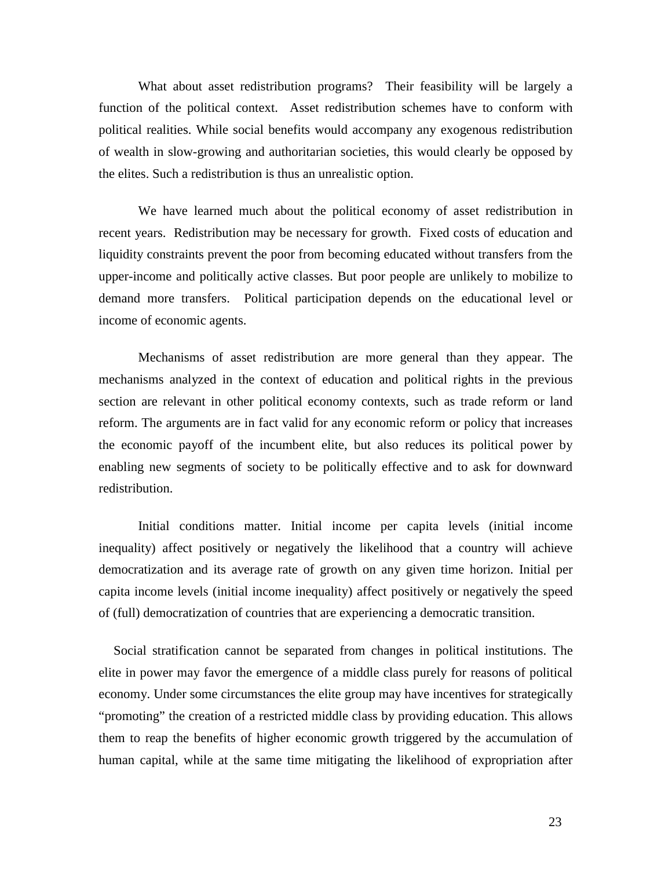What about asset redistribution programs? Their feasibility will be largely a function of the political context. Asset redistribution schemes have to conform with political realities. While social benefits would accompany any exogenous redistribution of wealth in slow-growing and authoritarian societies, this would clearly be opposed by the elites. Such a redistribution is thus an unrealistic option.

We have learned much about the political economy of asset redistribution in recent years. Redistribution may be necessary for growth. Fixed costs of education and liquidity constraints prevent the poor from becoming educated without transfers from the upper-income and politically active classes. But poor people are unlikely to mobilize to demand more transfers. Political participation depends on the educational level or income of economic agents.

Mechanisms of asset redistribution are more general than they appear. The mechanisms analyzed in the context of education and political rights in the previous section are relevant in other political economy contexts, such as trade reform or land reform. The arguments are in fact valid for any economic reform or policy that increases the economic payoff of the incumbent elite, but also reduces its political power by enabling new segments of society to be politically effective and to ask for downward redistribution.

Initial conditions matter. Initial income per capita levels (initial income inequality) affect positively or negatively the likelihood that a country will achieve democratization and its average rate of growth on any given time horizon. Initial per capita income levels (initial income inequality) affect positively or negatively the speed of (full) democratization of countries that are experiencing a democratic transition.

Social stratification cannot be separated from changes in political institutions. The elite in power may favor the emergence of a middle class purely for reasons of political economy. Under some circumstances the elite group may have incentives for strategically "promoting" the creation of a restricted middle class by providing education. This allows them to reap the benefits of higher economic growth triggered by the accumulation of human capital, while at the same time mitigating the likelihood of expropriation after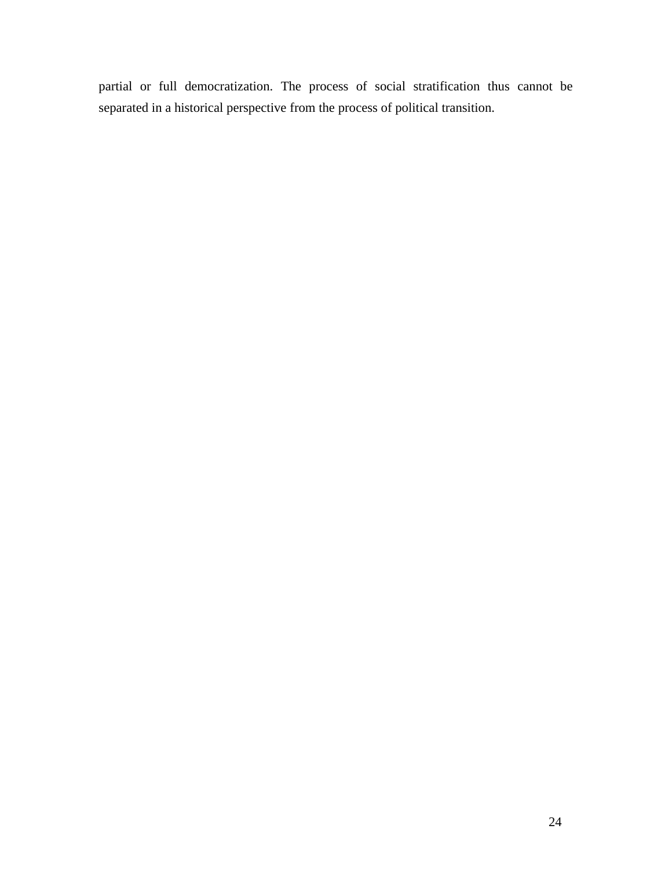partial or full democratization. The process of social stratification thus cannot be separated in a historical perspective from the process of political transition.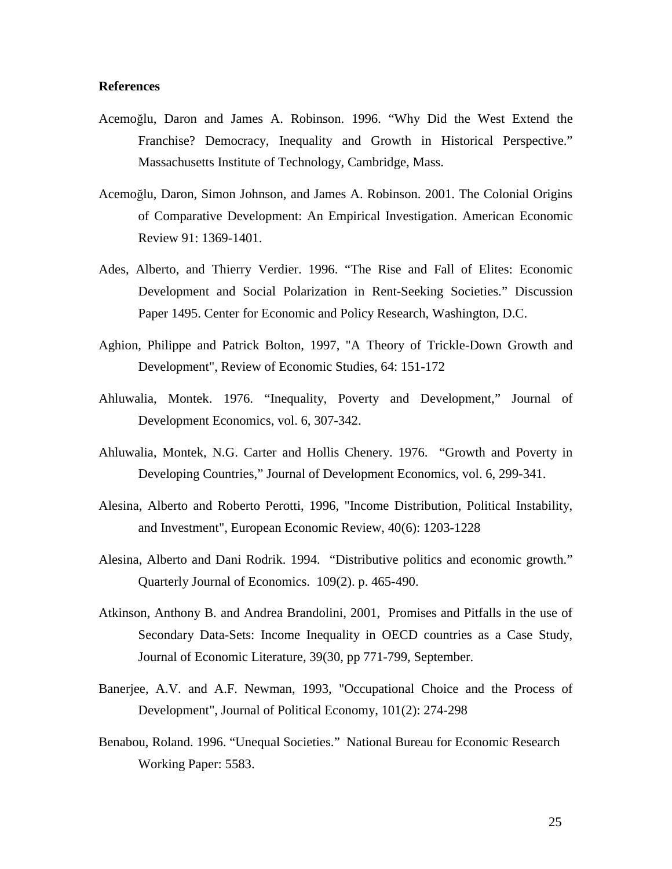#### **References**

- Acemoğlu, Daron and James A. Robinson. 1996. "Why Did the West Extend the Franchise? Democracy, Inequality and Growth in Historical Perspective." Massachusetts Institute of Technology, Cambridge, Mass.
- Acemoğlu, Daron, Simon Johnson, and James A. Robinson. 2001. The Colonial Origins of Comparative Development: An Empirical Investigation. American Economic Review 91: 1369-1401.
- Ades, Alberto, and Thierry Verdier. 1996. "The Rise and Fall of Elites: Economic Development and Social Polarization in Rent-Seeking Societies." Discussion Paper 1495. Center for Economic and Policy Research, Washington, D.C.
- Aghion, Philippe and Patrick Bolton, 1997, "A Theory of Trickle-Down Growth and Development", Review of Economic Studies, 64: 151-172
- Ahluwalia, Montek. 1976. "Inequality, Poverty and Development," Journal of Development Economics, vol. 6, 307-342.
- Ahluwalia, Montek, N.G. Carter and Hollis Chenery. 1976. "Growth and Poverty in Developing Countries," Journal of Development Economics, vol. 6, 299-341.
- Alesina, Alberto and Roberto Perotti, 1996, "Income Distribution, Political Instability, and Investment", European Economic Review, 40(6): 1203-1228
- Alesina, Alberto and Dani Rodrik. 1994. "Distributive politics and economic growth." Quarterly Journal of Economics. 109(2). p. 465-490.
- Atkinson, Anthony B. and Andrea Brandolini, 2001, Promises and Pitfalls in the use of Secondary Data-Sets: Income Inequality in OECD countries as a Case Study, Journal of Economic Literature, 39(30, pp 771-799, September.
- Banerjee, A.V. and A.F. Newman, 1993, "Occupational Choice and the Process of Development", Journal of Political Economy, 101(2): 274-298
- Benabou, Roland. 1996. "Unequal Societies." National Bureau for Economic Research Working Paper: 5583.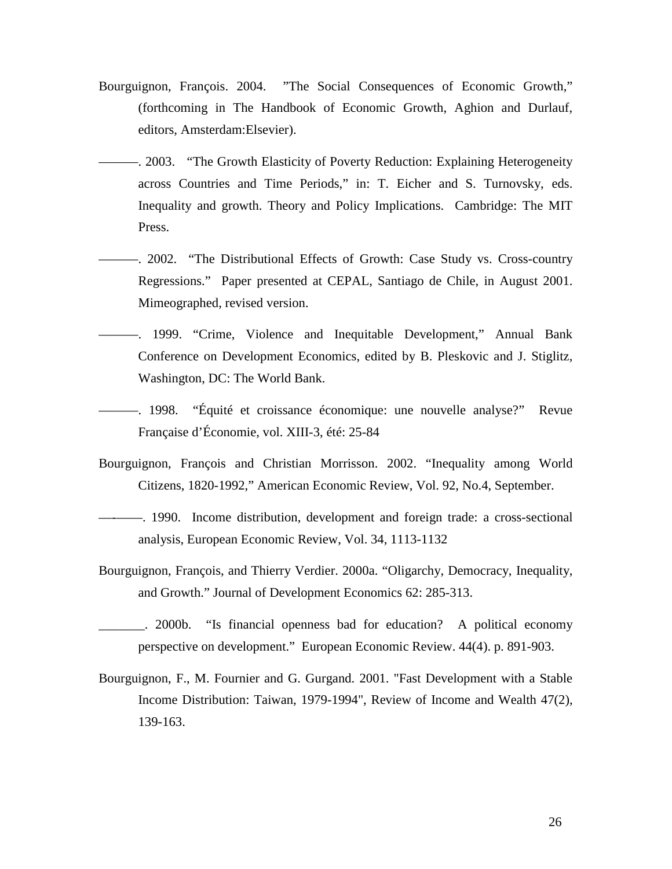- Bourguignon, François. 2004. "The Social Consequences of Economic Growth," (forthcoming in The Handbook of Economic Growth, Aghion and Durlauf, editors, Amsterdam:Elsevier).
- 2003. "The Growth Elasticity of Poverty Reduction: Explaining Heterogeneity across Countries and Time Periods," in: T. Eicher and S. Turnovsky, eds. Inequality and growth. Theory and Policy Implications. Cambridge: The MIT Press.
- ———. 2002. "The Distributional Effects of Growth: Case Study vs. Cross-country Regressions." Paper presented at CEPAL, Santiago de Chile, in August 2001. Mimeographed, revised version.
- ———. 1999. "Crime, Violence and Inequitable Development," Annual Bank Conference on Development Economics, edited by B. Pleskovic and J. Stiglitz, Washington, DC: The World Bank.
- ———. 1998. "Équité et croissance économique: une nouvelle analyse?" Revue Française d'Économie, vol. XIII-3, été: 25-84
- Bourguignon, François and Christian Morrisson. 2002. "Inequality among World Citizens, 1820-1992," American Economic Review, Vol. 92, No.4, September.
- —-——. 1990. Income distribution, development and foreign trade: a cross-sectional analysis, European Economic Review, Vol. 34, 1113-1132
- Bourguignon, François, and Thierry Verdier. 2000a. "Oligarchy, Democracy, Inequality, and Growth." Journal of Development Economics 62: 285-313.
- \_\_\_\_\_\_\_. 2000b. "Is financial openness bad for education? A political economy perspective on development." European Economic Review. 44(4). p. 891-903.
- Bourguignon, F., M. Fournier and G. Gurgand. 2001. "Fast Development with a Stable Income Distribution: Taiwan, 1979-1994", Review of Income and Wealth 47(2), 139-163.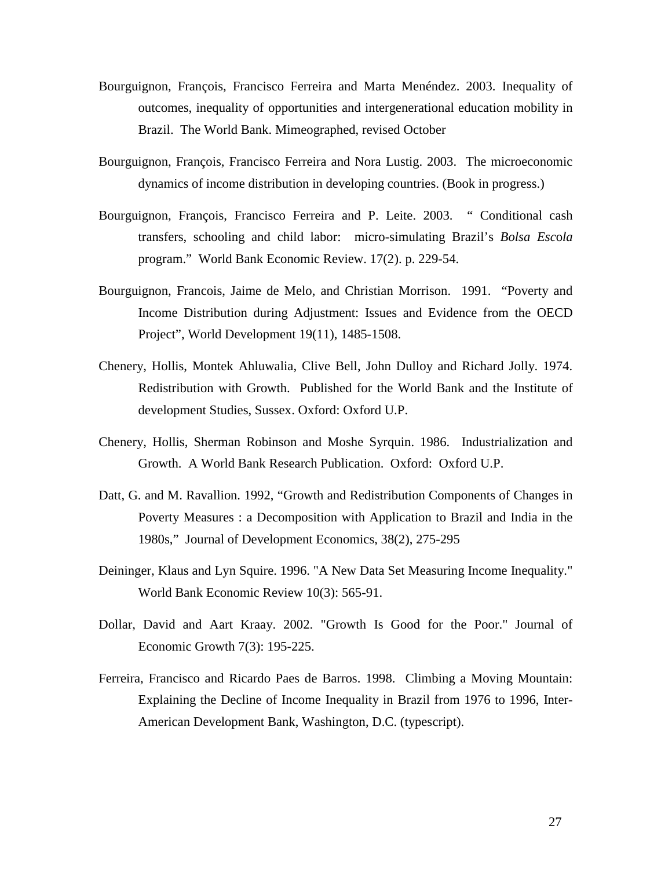- Bourguignon, François, Francisco Ferreira and Marta Menéndez. 2003. Inequality of outcomes, inequality of opportunities and intergenerational education mobility in Brazil. The World Bank. Mimeographed, revised October
- Bourguignon, François, Francisco Ferreira and Nora Lustig. 2003. The microeconomic dynamics of income distribution in developing countries. (Book in progress.)
- Bourguignon, François, Francisco Ferreira and P. Leite. 2003. " Conditional cash transfers, schooling and child labor: micro-simulating Brazil's *Bolsa Esc*o*la*  program." World Bank Economic Review. 17(2). p. 229-54.
- Bourguignon, Francois, Jaime de Melo, and Christian Morrison. 1991. "Poverty and Income Distribution during Adjustment: Issues and Evidence from the OECD Project", World Development 19(11), 1485-1508.
- Chenery, Hollis, Montek Ahluwalia, Clive Bell, John Dulloy and Richard Jolly. 1974. Redistribution with Growth. Published for the World Bank and the Institute of development Studies, Sussex. Oxford: Oxford U.P.
- Chenery, Hollis, Sherman Robinson and Moshe Syrquin. 1986. Industrialization and Growth. A World Bank Research Publication. Oxford: Oxford U.P.
- Datt, G. and M. Ravallion. 1992, "Growth and Redistribution Components of Changes in Poverty Measures : a Decomposition with Application to Brazil and India in the 1980s," Journal of Development Economics, 38(2), 275-295
- Deininger, Klaus and Lyn Squire. 1996. "A New Data Set Measuring Income Inequality." World Bank Economic Review 10(3): 565-91.
- Dollar, David and Aart Kraay. 2002. "Growth Is Good for the Poor." Journal of Economic Growth 7(3): 195-225.
- Ferreira, Francisco and Ricardo Paes de Barros. 1998. Climbing a Moving Mountain: Explaining the Decline of Income Inequality in Brazil from 1976 to 1996, Inter-American Development Bank, Washington, D.C. (typescript).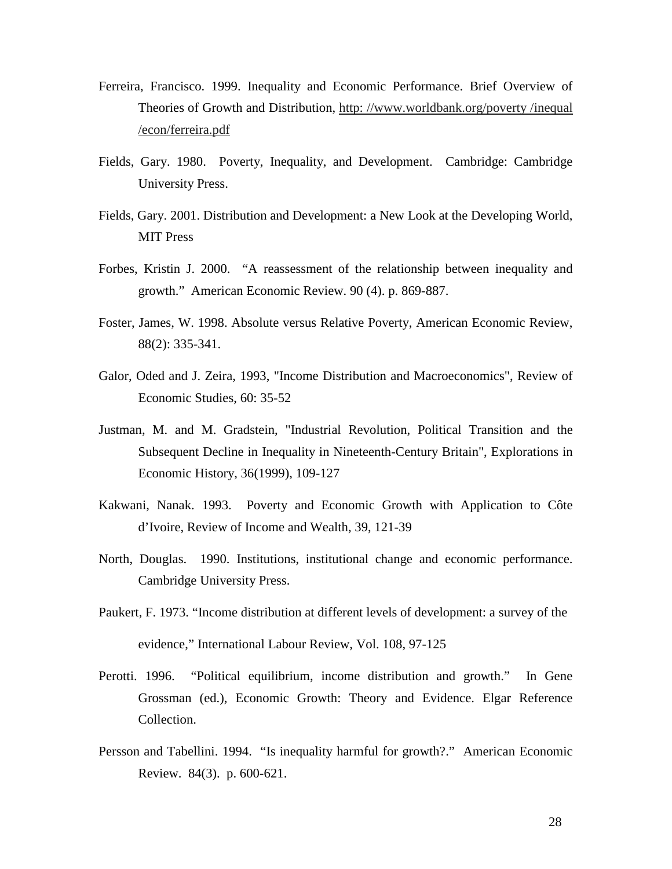- Ferreira, Francisco. 1999. Inequality and Economic Performance. Brief Overview of Theories of Growth and Distribution, http: //www.worldbank.org/poverty /inequal /econ/ferreira.pdf
- Fields, Gary. 1980. Poverty, Inequality, and Development. Cambridge: Cambridge University Press.
- Fields, Gary. 2001. Distribution and Development: a New Look at the Developing World, MIT Press
- Forbes, Kristin J. 2000. "A reassessment of the relationship between inequality and growth." American Economic Review. 90 (4). p. 869-887.
- Foster, James, W. 1998. Absolute versus Relative Poverty, American Economic Review, 88(2): 335-341.
- Galor, Oded and J. Zeira, 1993, "Income Distribution and Macroeconomics", Review of Economic Studies, 60: 35-52
- Justman, M. and M. Gradstein, "Industrial Revolution, Political Transition and the Subsequent Decline in Inequality in Nineteenth-Century Britain", Explorations in Economic History, 36(1999), 109-127
- Kakwani, Nanak. 1993. Poverty and Economic Growth with Application to Côte d'Ivoire, Review of Income and Wealth, 39, 121-39
- North, Douglas. 1990. Institutions, institutional change and economic performance. Cambridge University Press.
- Paukert, F. 1973. "Income distribution at different levels of development: a survey of the evidence," International Labour Review, Vol. 108, 97-125
- Perotti. 1996. "Political equilibrium, income distribution and growth." In Gene Grossman (ed.), Economic Growth: Theory and Evidence. Elgar Reference Collection.
- Persson and Tabellini. 1994. "Is inequality harmful for growth?." American Economic Review. 84(3). p. 600-621.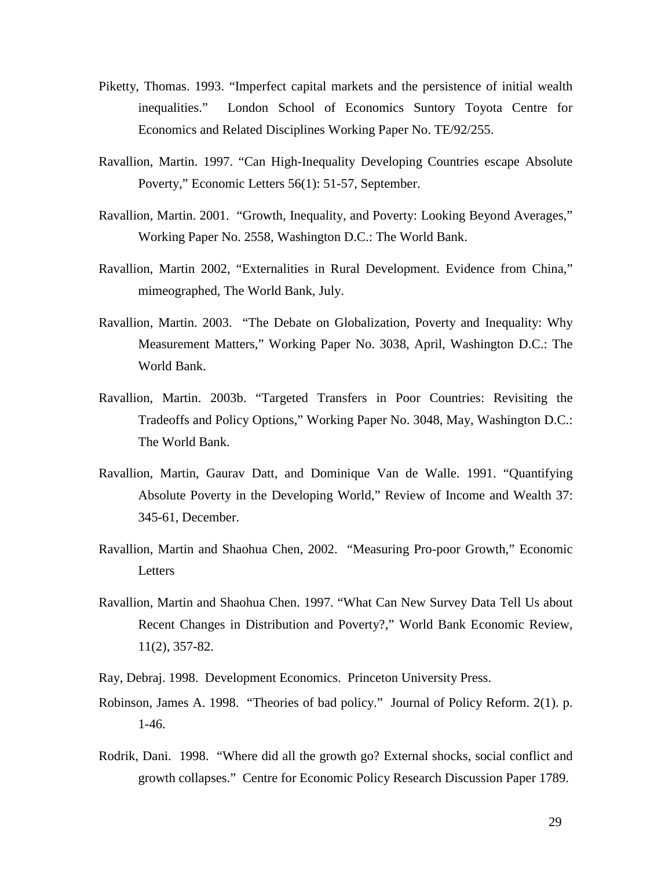- Piketty, Thomas. 1993. "Imperfect capital markets and the persistence of initial wealth inequalities." London School of Economics Suntory Toyota Centre for Economics and Related Disciplines Working Paper No. TE/92/255.
- Ravallion, Martin. 1997. "Can High-Inequality Developing Countries escape Absolute Poverty," Economic Letters 56(1): 51-57, September.
- Ravallion, Martin. 2001. "Growth, Inequality, and Poverty: Looking Beyond Averages," Working Paper No. 2558, Washington D.C.: The World Bank.
- Ravallion, Martin 2002, "Externalities in Rural Development. Evidence from China," mimeographed, The World Bank, July.
- Ravallion, Martin. 2003. "The Debate on Globalization, Poverty and Inequality: Why Measurement Matters," Working Paper No. 3038, April, Washington D.C.: The World Bank.
- Ravallion, Martin. 2003b. "Targeted Transfers in Poor Countries: Revisiting the Tradeoffs and Policy Options," Working Paper No. 3048, May, Washington D.C.: The World Bank.
- Ravallion, Martin, Gaurav Datt, and Dominique Van de Walle. 1991. "Quantifying Absolute Poverty in the Developing World," Review of Income and Wealth 37: 345-61, December.
- Ravallion, Martin and Shaohua Chen, 2002. "Measuring Pro-poor Growth," Economic Letters
- Ravallion, Martin and Shaohua Chen. 1997. "What Can New Survey Data Tell Us about Recent Changes in Distribution and Poverty?," World Bank Economic Review, 11(2), 357-82.
- Ray, Debraj. 1998. Development Economics. Princeton University Press.
- Robinson, James A. 1998. "Theories of bad policy." Journal of Policy Reform. 2(1). p. 1-46.
- Rodrik, Dani. 1998. "Where did all the growth go? External shocks, social conflict and growth collapses." Centre for Economic Policy Research Discussion Paper 1789.